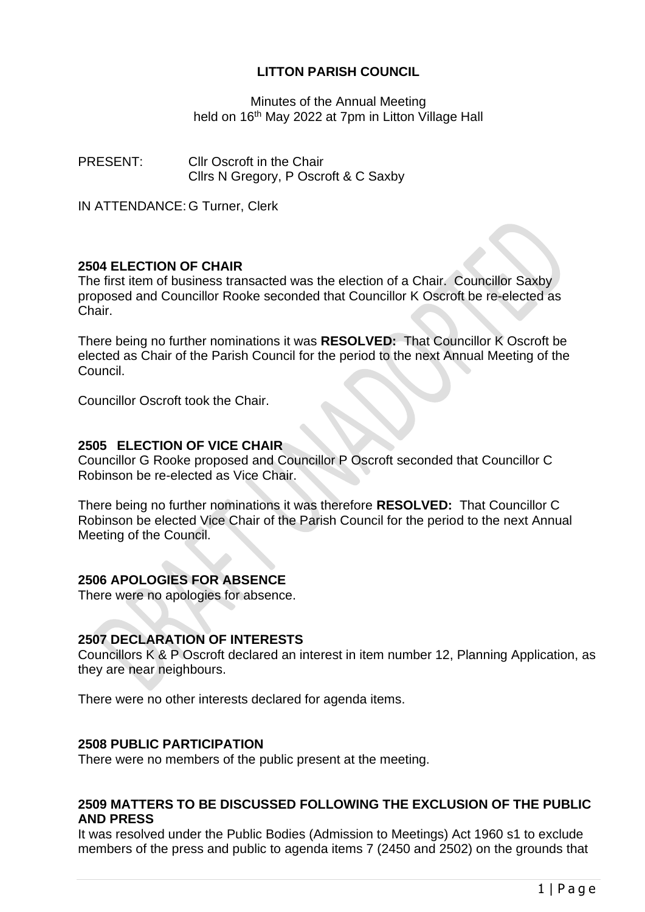# **LITTON PARISH COUNCIL**

Minutes of the Annual Meeting held on 16<sup>th</sup> May 2022 at 7pm in Litton Village Hall

PRESENT: Cllr Oscroft in the Chair Cllrs N Gregory, P Oscroft & C Saxby

IN ATTENDANCE: G Turner, Clerk

# **2504 ELECTION OF CHAIR**

The first item of business transacted was the election of a Chair. Councillor Saxby proposed and Councillor Rooke seconded that Councillor K Oscroft be re-elected as Chair.

There being no further nominations it was **RESOLVED:** That Councillor K Oscroft be elected as Chair of the Parish Council for the period to the next Annual Meeting of the Council.

Councillor Oscroft took the Chair.

# **2505 ELECTION OF VICE CHAIR**

Councillor G Rooke proposed and Councillor P Oscroft seconded that Councillor C Robinson be re-elected as Vice Chair.

There being no further nominations it was therefore **RESOLVED:** That Councillor C Robinson be elected Vice Chair of the Parish Council for the period to the next Annual Meeting of the Council.

# **2506 APOLOGIES FOR ABSENCE**

There were no apologies for absence.

## **2507 DECLARATION OF INTERESTS**

Councillors K & P Oscroft declared an interest in item number 12, Planning Application, as they are near neighbours.

There were no other interests declared for agenda items.

## **2508 PUBLIC PARTICIPATION**

There were no members of the public present at the meeting.

## **2509 MATTERS TO BE DISCUSSED FOLLOWING THE EXCLUSION OF THE PUBLIC AND PRESS**

It was resolved under the Public Bodies (Admission to Meetings) Act 1960 s1 to exclude members of the press and public to agenda items 7 (2450 and 2502) on the grounds that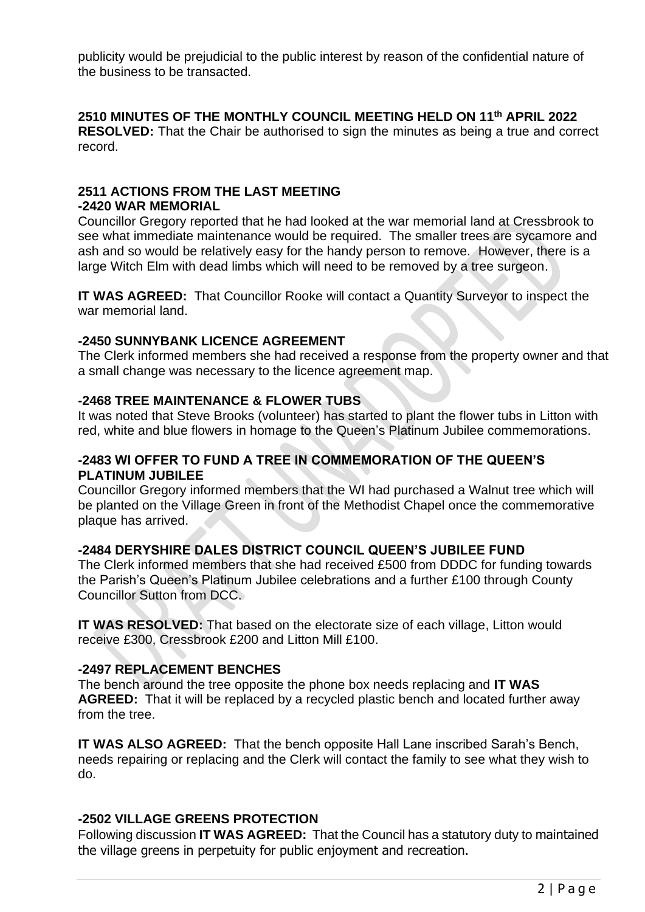publicity would be prejudicial to the public interest by reason of the confidential nature of the business to be transacted.

## **2510 MINUTES OF THE MONTHLY COUNCIL MEETING HELD ON 11th APRIL 2022**

**RESOLVED:** That the Chair be authorised to sign the minutes as being a true and correct record.

#### **2511 ACTIONS FROM THE LAST MEETING -2420 WAR MEMORIAL**

Councillor Gregory reported that he had looked at the war memorial land at Cressbrook to see what immediate maintenance would be required. The smaller trees are sycamore and ash and so would be relatively easy for the handy person to remove. However, there is a large Witch Elm with dead limbs which will need to be removed by a tree surgeon.

**IT WAS AGREED:** That Councillor Rooke will contact a Quantity Surveyor to inspect the war memorial land.

## **-2450 SUNNYBANK LICENCE AGREEMENT**

The Clerk informed members she had received a response from the property owner and that a small change was necessary to the licence agreement map.

## **-2468 TREE MAINTENANCE & FLOWER TUBS**

It was noted that Steve Brooks (volunteer) has started to plant the flower tubs in Litton with red, white and blue flowers in homage to the Queen's Platinum Jubilee commemorations.

# **-2483 WI OFFER TO FUND A TREE IN COMMEMORATION OF THE QUEEN'S PLATINUM JUBILEE**

Councillor Gregory informed members that the WI had purchased a Walnut tree which will be planted on the Village Green in front of the Methodist Chapel once the commemorative plaque has arrived.

## **-2484 DERYSHIRE DALES DISTRICT COUNCIL QUEEN'S JUBILEE FUND**

The Clerk informed members that she had received £500 from DDDC for funding towards the Parish's Queen's Platinum Jubilee celebrations and a further £100 through County Councillor Sutton from DCC.

**IT WAS RESOLVED:** That based on the electorate size of each village, Litton would receive £300, Cressbrook £200 and Litton Mill £100.

# **-2497 REPLACEMENT BENCHES**

The bench around the tree opposite the phone box needs replacing and **IT WAS AGREED:** That it will be replaced by a recycled plastic bench and located further away from the tree.

**IT WAS ALSO AGREED:** That the bench opposite Hall Lane inscribed Sarah's Bench, needs repairing or replacing and the Clerk will contact the family to see what they wish to do.

# **-2502 VILLAGE GREENS PROTECTION**

Following discussion **IT WAS AGREED:** That the Council has a statutory duty to maintained the village greens in perpetuity for public enjoyment and recreation.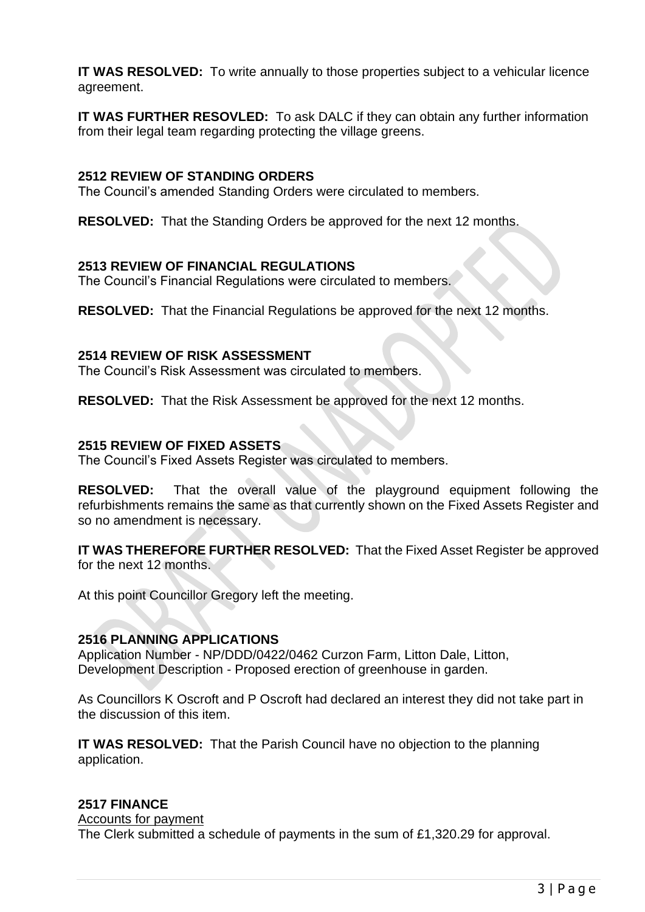**IT WAS RESOLVED:** To write annually to those properties subject to a vehicular licence agreement.

**IT WAS FURTHER RESOVLED:** To ask DALC if they can obtain any further information from their legal team regarding protecting the village greens.

#### **2512 REVIEW OF STANDING ORDERS**

The Council's amended Standing Orders were circulated to members.

**RESOLVED:** That the Standing Orders be approved for the next 12 months.

#### **2513 REVIEW OF FINANCIAL REGULATIONS**

The Council's Financial Regulations were circulated to members.

**RESOLVED:** That the Financial Regulations be approved for the next 12 months.

#### **2514 REVIEW OF RISK ASSESSMENT**

The Council's Risk Assessment was circulated to members.

**RESOLVED:** That the Risk Assessment be approved for the next 12 months.

#### **2515 REVIEW OF FIXED ASSETS**

The Council's Fixed Assets Register was circulated to members.

**RESOLVED:** That the overall value of the playground equipment following the refurbishments remains the same as that currently shown on the Fixed Assets Register and so no amendment is necessary.

**IT WAS THEREFORE FURTHER RESOLVED:** That the Fixed Asset Register be approved for the next 12 months.

At this point Councillor Gregory left the meeting.

## **2516 PLANNING APPLICATIONS**

Application Number - NP/DDD/0422/0462 Curzon Farm, Litton Dale, Litton, Development Description - Proposed erection of greenhouse in garden.

As Councillors K Oscroft and P Oscroft had declared an interest they did not take part in the discussion of this item.

**IT WAS RESOLVED:** That the Parish Council have no objection to the planning application.

# **2517 FINANCE**

Accounts for payment

The Clerk submitted a schedule of payments in the sum of £1,320.29 for approval.